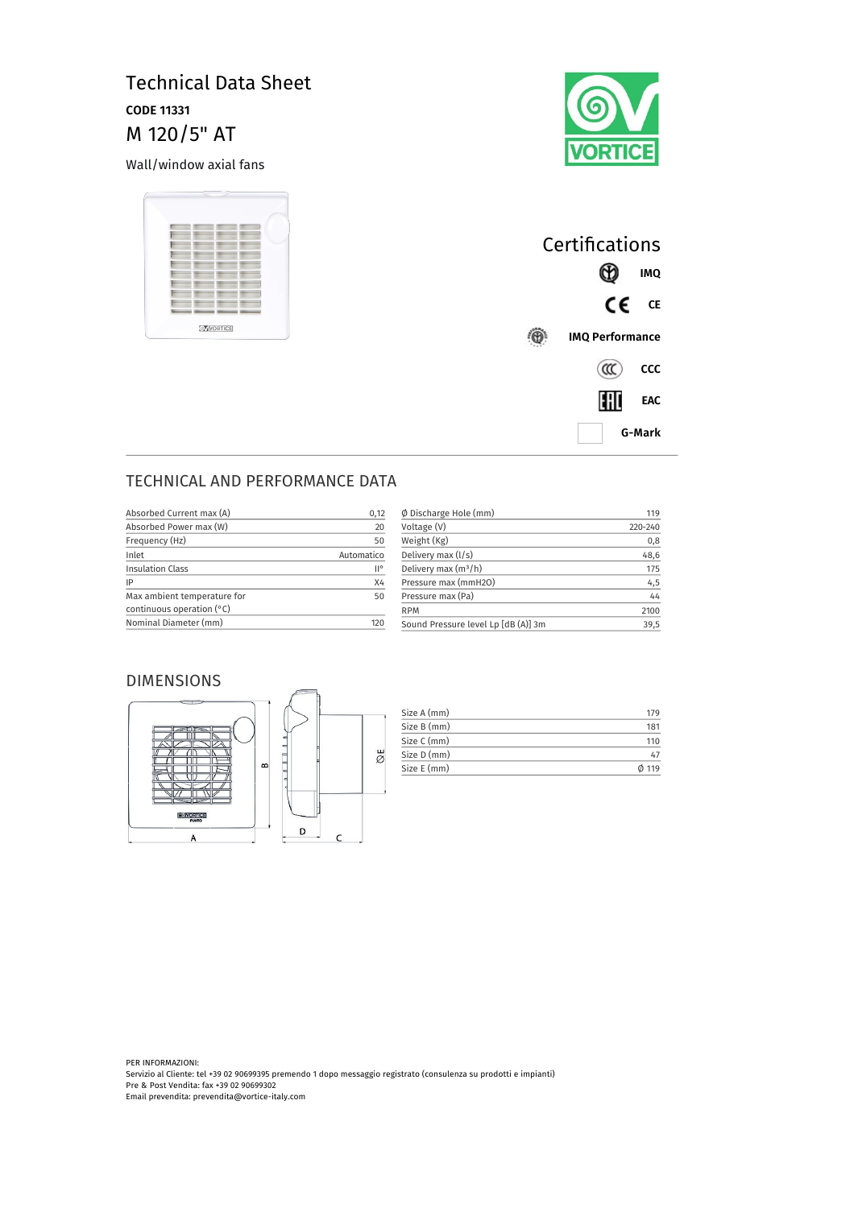# Technical Data Sheet **CODE 11331** M 120/5" AT

Wall/window axial fans





| Certifications         |            |  |
|------------------------|------------|--|
|                        | <b>IMQ</b> |  |
| CE                     | <b>CE</b>  |  |
| <b>IMQ Performance</b> |            |  |
| $(\alpha c)$           | CCC        |  |
| HII                    | EAC        |  |
| G-Mark                 |            |  |

## TECHNICAL AND PERFORMANCE DATA

| 0,12       | $\emptyset$ Discharge Hole (mm)     | 119     |
|------------|-------------------------------------|---------|
| 20         | Voltage (V)                         | 220-240 |
| 50         | Weight (Kg)                         | 0,8     |
| Automatico | Delivery max (I/s)                  | 48,6    |
| II°        | Delivery max $(m^3/h)$              | 175     |
| X4         | Pressure max (mmH2O)                | 4,5     |
| 50         | Pressure max (Pa)                   | 44      |
|            | <b>RPM</b>                          | 2100    |
| 120        | Sound Pressure level Lp [dB (A)] 3m | 39,5    |
|            |                                     |         |

#### DIMENSIONS



| Size A (mm) | 17¢   |
|-------------|-------|
| Size B (mm) | 181   |
| Size C (mm) | 110   |
| Size D (mm) | 47    |
| Size E (mm) | 0.119 |

PER INFORMAZIONI: Servizio al Cliente: tel +39 02 90699395 premendo 1 dopo messaggio registrato (consulenza su prodotti e impianti) Pre & Post Vendita: fax +39 02 90699302 Email prevendita: prevendita@vortice-italy.com